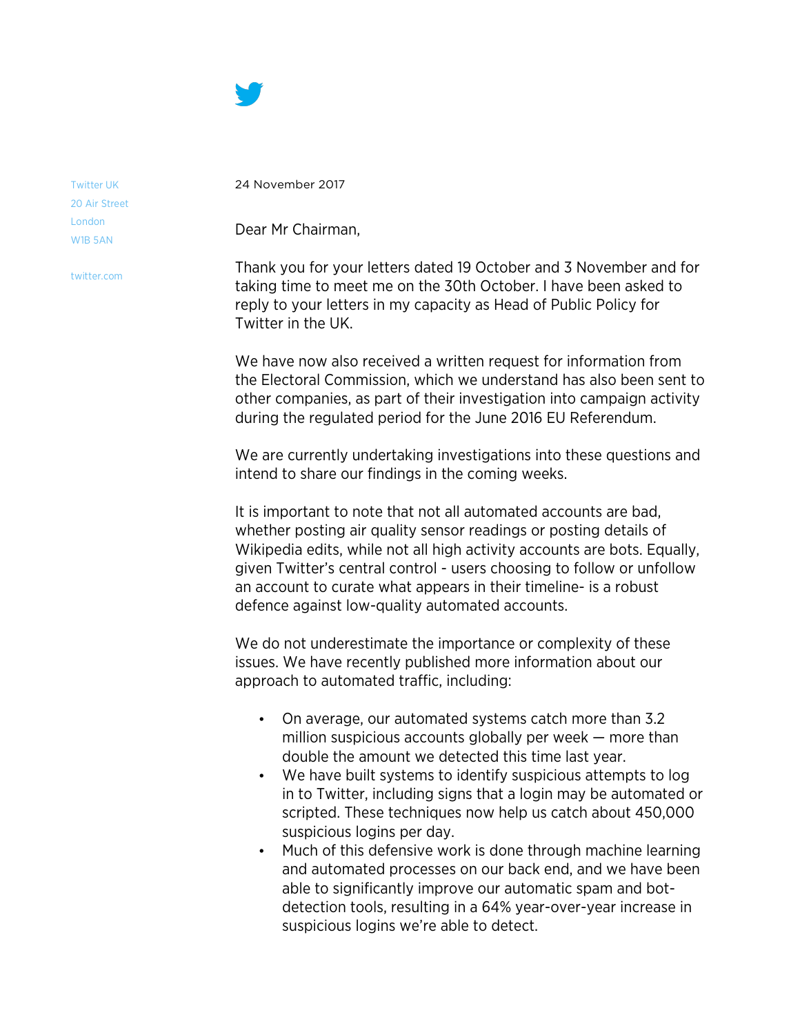

Twitter UK 20 Air Street London W1B 5AN

twitter.com

24 November 2017

Dear Mr Chairman,

Thank you for your letters dated 19 October and 3 November and for taking time to meet me on the 30th October. I have been asked to reply to your letters in my capacity as Head of Public Policy for Twitter in the UK.

We have now also received a written request for information from the Electoral Commission, which we understand has also been sent to other companies, as part of their investigation into campaign activity during the regulated period for the June 2016 EU Referendum.

We are currently undertaking investigations into these questions and intend to share our findings in the coming weeks.

It is important to note that not all automated accounts are bad, whether posting air quality sensor readings or posting details of Wikipedia edits, while not all high activity accounts are bots. Equally, given Twitter's central control - users choosing to follow or unfollow an account to curate what appears in their timeline- is a robust defence against low-quality automated accounts.

We do not underestimate the importance or complexity of these issues. We have recently published more information about our approach to automated traffic, including:

- On average, our automated systems catch more than 3.2 million suspicious accounts globally per week — more than double the amount we detected this time last year.
- We have built systems to identify suspicious attempts to log in to Twitter, including signs that a login may be automated or scripted. These techniques now help us catch about 450,000 suspicious logins per day.
- Much of this defensive work is done through machine learning and automated processes on our back end, and we have been able to significantly improve our automatic spam and botdetection tools, resulting in a 64% year-over-year increase in suspicious logins we're able to detect.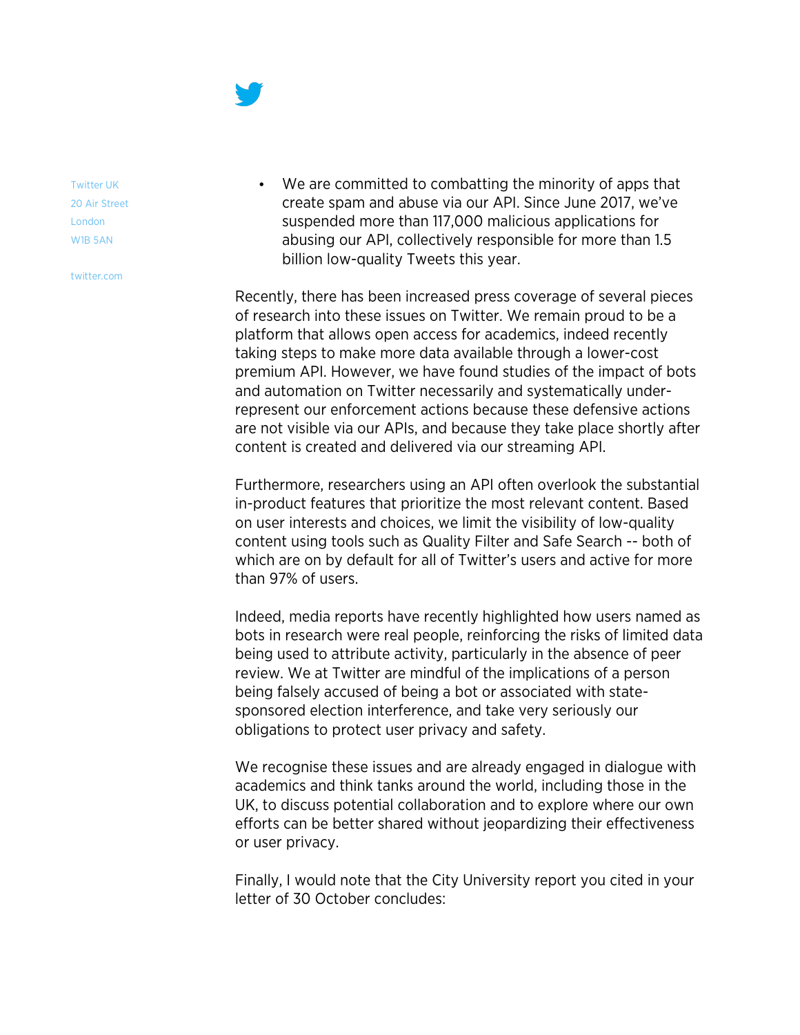

Twitter UK 20 Air Street London W1B 5AN

twitter.com

• We are committed to combatting the minority of apps that create spam and abuse via our API. Since June 2017, we've suspended more than 117,000 malicious applications for abusing our API, collectively responsible for more than 1.5 billion low-quality Tweets this year.

Recently, there has been increased press coverage of several pieces of research into these issues on Twitter. We remain proud to be a platform that allows open access for academics, indeed recently taking steps to make more data available through a lower-cost premium API. However, we have found studies of the impact of bots and automation on Twitter necessarily and systematically underrepresent our enforcement actions because these defensive actions are not visible via our APIs, and because they take place shortly after content is created and delivered via our streaming API.

Furthermore, researchers using an API often overlook the substantial in-product features that prioritize the most relevant content. Based on user interests and choices, we limit the visibility of low-quality content using tools such as Quality Filter and Safe Search -- both of which are on by default for all of Twitter's users and active for more than 97% of users.

Indeed, media reports have recently highlighted how users named as bots in research were real people, reinforcing the risks of limited data being used to attribute activity, particularly in the absence of peer review. We at Twitter are mindful of the implications of a person being falsely accused of being a bot or associated with statesponsored election interference, and take very seriously our obligations to protect user privacy and safety.

We recognise these issues and are already engaged in dialogue with academics and think tanks around the world, including those in the UK, to discuss potential collaboration and to explore where our own efforts can be better shared without jeopardizing their effectiveness or user privacy.

Finally, I would note that the City University report you cited in your letter of 30 October concludes: